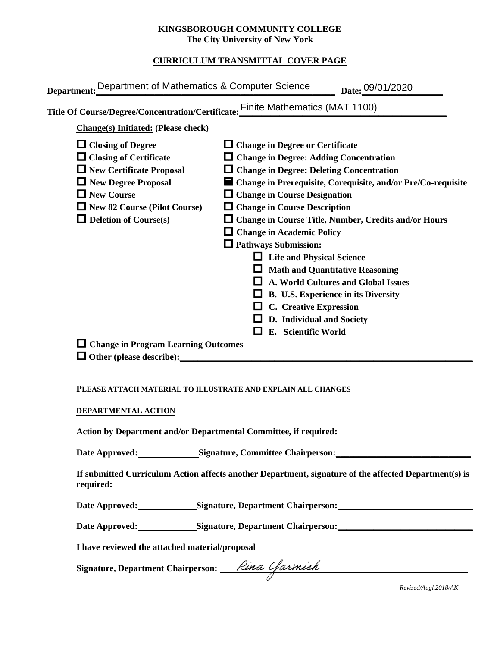### **KINGSBOROUGH COMMUNITY COLLEGE The City University of New York**

## **CURRICULUM TRANSMITTAL COVER PAGE**

|                                                                                                                                                                                                                                                                      | Title Of Course/Degree/Concentration/Certificate: Finite Mathematics (MAT 1100)                                                                                                                                                                                                                                                                                                                                                                                                                                                                                                            |
|----------------------------------------------------------------------------------------------------------------------------------------------------------------------------------------------------------------------------------------------------------------------|--------------------------------------------------------------------------------------------------------------------------------------------------------------------------------------------------------------------------------------------------------------------------------------------------------------------------------------------------------------------------------------------------------------------------------------------------------------------------------------------------------------------------------------------------------------------------------------------|
| <b>Change(s)</b> Initiated: (Please check)<br>$\Box$ Closing of Degree<br>$\Box$ Closing of Certificate<br>$\Box$ New Certificate Proposal<br>$\Box$ New Degree Proposal<br>$\Box$ New Course<br>$\Box$ New 82 Course (Pilot Course)<br>$\Box$ Deletion of Course(s) | $\Box$ Change in Degree or Certificate<br>$\Box$ Change in Degree: Adding Concentration<br>$\Box$ Change in Degree: Deleting Concentration<br>■ Change in Prerequisite, Corequisite, and/or Pre/Co-requisite<br>$\Box$ Change in Course Designation<br>$\Box$ Change in Course Description<br>$\Box$ Change in Course Title, Number, Credits and/or Hours<br><b>Change in Academic Policy</b><br><b>Q</b> Pathways Submission:<br>$\Box$ Life and Physical Science<br><b>Math and Quantitative Reasoning</b><br>A. World Cultures and Global Issues<br>B. U.S. Experience in its Diversity |
| $\Box$ Change in Program Learning Outcomes<br>$\Box$ Other (please describe):                                                                                                                                                                                        | <b>C.</b> Creative Expression<br>D. Individual and Society<br>E. Scientific World                                                                                                                                                                                                                                                                                                                                                                                                                                                                                                          |

#### **PLEASE ATTACH MATERIAL TO ILLUSTRATE AND EXPLAIN ALL CHANGES**

#### **DEPARTMENTAL ACTION**

**Action by Department and/or Departmental Committee, if required:**

Date Approved: Signature, Committee Chairperson: National Approved: National Approved: National Approved: National Approved: National Approved: National Approved: National Approved: National Approved: National Approved: Na

**If submitted Curriculum Action affects another Department, signature of the affected Department(s) is required:**

**Date Approved: Signature, Department Chairperson:\_\_\_\_\_\_\_\_\_\_\_\_\_\_\_\_\_\_\_\_\_\_\_\_\_\_\_\_\_\_** 

Date Approved: Signature, Department Chairperson: Network and Solven and Solven and Solven and Solven and Solven and Solven and Solven and Solven and Solven and Solven and Solven and Solven and Solven and Solven and Solven

**I have reviewed the attached material/proposal**

Signature, Department Chairperson: \_\_\_\_*Rina Ufarmiah* 

*Revised/Augl.2018/AK*